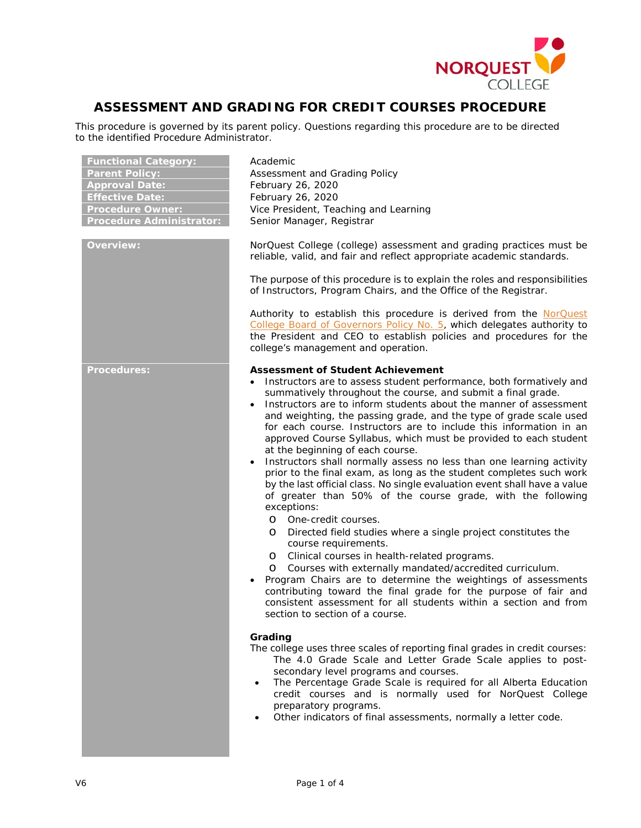

# **ASSESSMENT AND GRADING FOR CREDIT COURSES PROCEDURE**

This procedure is governed by its parent policy. Questions regarding this procedure are to be directed to the identified Procedure Administrator.

| <b>Functional Category:</b><br><b>Parent Policy:</b><br><b>Approval Date:</b><br><b>Effective Date:</b><br><b>Procedure Owner:</b><br><b>Procedure Administrator:</b> | Academic<br>Assessment and Grading Policy<br>February 26, 2020<br>February 26, 2020<br>Vice President, Teaching and Learning<br>Senior Manager, Registrar                                                                                                                                                                                                                                                                                                                                                                                                                                                                                                                                                                                                                                                                                                                                                                                                                                                                                                                                                                                                                                                                                                                                                                                                          |
|-----------------------------------------------------------------------------------------------------------------------------------------------------------------------|--------------------------------------------------------------------------------------------------------------------------------------------------------------------------------------------------------------------------------------------------------------------------------------------------------------------------------------------------------------------------------------------------------------------------------------------------------------------------------------------------------------------------------------------------------------------------------------------------------------------------------------------------------------------------------------------------------------------------------------------------------------------------------------------------------------------------------------------------------------------------------------------------------------------------------------------------------------------------------------------------------------------------------------------------------------------------------------------------------------------------------------------------------------------------------------------------------------------------------------------------------------------------------------------------------------------------------------------------------------------|
| <b>Overview:</b>                                                                                                                                                      | NorQuest College (college) assessment and grading practices must be<br>reliable, valid, and fair and reflect appropriate academic standards.                                                                                                                                                                                                                                                                                                                                                                                                                                                                                                                                                                                                                                                                                                                                                                                                                                                                                                                                                                                                                                                                                                                                                                                                                       |
|                                                                                                                                                                       | The purpose of this procedure is to explain the roles and responsibilities<br>of Instructors, Program Chairs, and the Office of the Registrar.                                                                                                                                                                                                                                                                                                                                                                                                                                                                                                                                                                                                                                                                                                                                                                                                                                                                                                                                                                                                                                                                                                                                                                                                                     |
|                                                                                                                                                                       | Authority to establish this procedure is derived from the NorQuest<br>College Board of Governors Policy No. 5, which delegates authority to<br>the President and CEO to establish policies and procedures for the<br>college's management and operation.                                                                                                                                                                                                                                                                                                                                                                                                                                                                                                                                                                                                                                                                                                                                                                                                                                                                                                                                                                                                                                                                                                           |
| <b>Procedures:</b>                                                                                                                                                    | <b>Assessment of Student Achievement</b><br>Instructors are to assess student performance, both formatively and<br>$\bullet$<br>summatively throughout the course, and submit a final grade.<br>Instructors are to inform students about the manner of assessment<br>$\bullet$<br>and weighting, the passing grade, and the type of grade scale used<br>for each course. Instructors are to include this information in an<br>approved Course Syllabus, which must be provided to each student<br>at the beginning of each course.<br>Instructors shall normally assess no less than one learning activity<br>$\bullet$<br>prior to the final exam, as long as the student completes such work<br>by the last official class. No single evaluation event shall have a value<br>of greater than 50% of the course grade, with the following<br>exceptions:<br>O One-credit courses.<br>Directed field studies where a single project constitutes the<br>$\circ$<br>course requirements.<br>Clinical courses in health-related programs.<br>$\circ$<br>Courses with externally mandated/accredited curriculum.<br>$\circ$<br>Program Chairs are to determine the weightings of assessments<br>contributing toward the final grade for the purpose of fair and<br>consistent assessment for all students within a section and from<br>section to section of a course. |
|                                                                                                                                                                       | Grading<br>The college uses three scales of reporting final grades in credit courses:<br>The 4.0 Grade Scale and Letter Grade Scale applies to post-<br>secondary level programs and courses.<br>The Percentage Grade Scale is required for all Alberta Education<br>$\bullet$<br>credit courses and is normally used for NorQuest College<br>preparatory programs.<br>Other indicators of final assessments, normally a letter code.                                                                                                                                                                                                                                                                                                                                                                                                                                                                                                                                                                                                                                                                                                                                                                                                                                                                                                                              |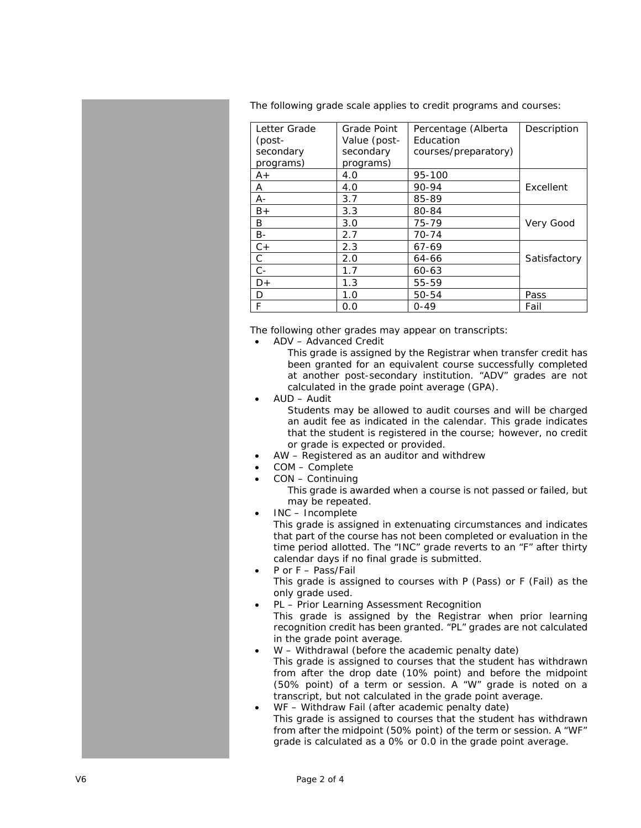The following grade scale applies to credit programs and courses:

| Letter Grade | Grade Point  | Percentage (Alberta  | Description  |
|--------------|--------------|----------------------|--------------|
| (post-       | Value (post- | Education            |              |
| secondary    | secondary    | courses/preparatory) |              |
| programs)    | programs)    |                      |              |
| $A+$         | 4.0          | 95-100               |              |
| A            | 4.0          | 90-94                | Excellent    |
| А-           | 3.7          | 85-89                |              |
| $B+$         | 3.3          | 80-84                |              |
| B            | 3.0          | 75-79                | Very Good    |
| <b>B-</b>    | 2.7          | $70 - 74$            |              |
| $C +$        | 2.3          | 67-69                |              |
| С            | 2.0          | 64-66                | Satisfactory |
| $C -$        | 1.7          | 60-63                |              |
| D+           | 1.3          | 55-59                |              |
| D            | 1.0          | $50 - 54$            | Pass         |
| F            | 0.0          | $0 - 49$             | Fail         |

The following other grades may appear on transcripts:

• ADV – Advanced Credit

This grade is assigned by the Registrar when transfer credit has been granted for an equivalent course successfully completed at another post -secondary institution. "ADV" grades are not calculated in the grade point average (GPA).

• AUD – Audit

Students may be allowed to audit courses and will be charged an audit fee as indicated in the calendar. This grade indicates that the student is registered in the course; however, no credit or grade is expected or provided.

- AW Registered as an auditor and withdrew
- COM Complet e
- CON Continuing

This grade is awarded when a course is not passed or failed, but may be repeated.

• INC – Incomplete

This grade is assigned in extenuating circumstances and indicates that part of the course has not been completed or evaluation in the time period allotted. The "INC" grade reverts to an "F" after thirty calendar days if no final grade is submitted.

- P or F Pass/Fail This grade is assigned to courses with P (Pass) or F (Fail) as the only grade used.
- PL Prior Learning Assessment Recognition This grade is assigned by the Registrar when prior learning recognition credit has been granted. "PL" grades are not calculated in the grade point average.
- W Withdrawal (before the academic penalty date) This grade is assigned to courses that the student has withdrawn from after the drop date (10% point) and before the midpoint (50% point) of a term or session. A "W" grade is noted on a transcript, but not calculated in the grade point average.
- WF Withdraw Fail (after academic penalty date) This grade is assigned to courses that the student has withdrawn from after the midpoint (50% point) of the term or session. A "WF" grade is calculated as a 0% or 0.0 in the grade point average.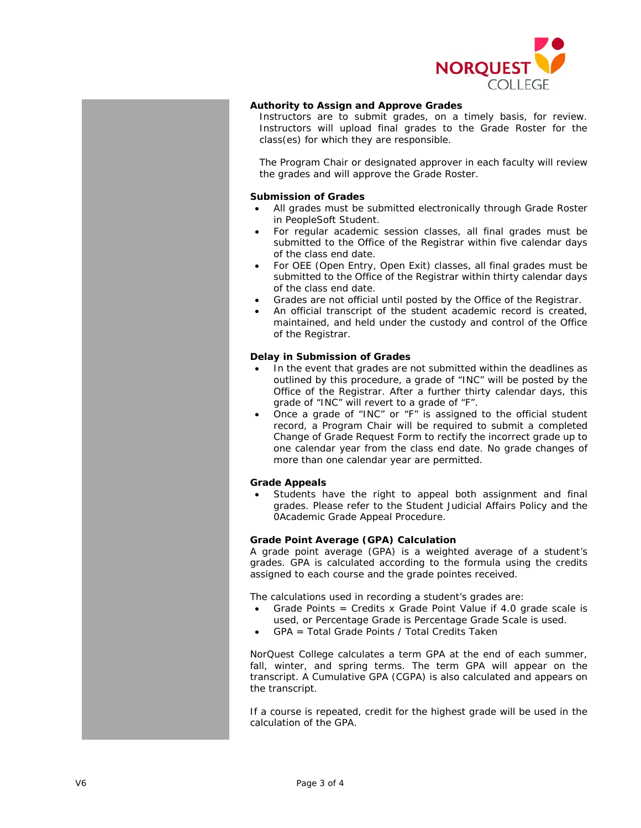

# **Authority to Assign and Approve Grades**

Instructors are to submit grades, on a timely basis, for review. Instructors will upload final grades to the Grade Roster for the class(es) for which they are responsible.

The Program Chair or designated approver in each faculty will review the grades and will approve the Grade Roster.

#### **Submission of Grades**

- All grades must be submitted electronically through Grade Roster in PeopleSoft Student.
- For regular academic session classes, all final grades must be submitted to the Office of the Registrar within five calendar days of the class end date.
- For OEE (Open Entry, Open Exit) classes, all final grades must be submitted to the Office of the Registrar within thirty calendar days of the class end date.
- Grades are not official until posted by the Office of the Registrar.
- An official transcript of the student academic record is created, maintained, and held under the custody and control of the Office of the Registrar.

## **Delay in Submission of Grades**

- In the event that grades are not submitted within the deadlines as outlined by this procedure, a grade of "INC" will be posted by the Office of the Registrar. After a further thirty calendar days, this grade of "INC" will revert to a grade of "F".
- Once a grade of "INC" or "F" is assigned to the official student record, a Program Chair will be required to submit a completed Change of Grade Request Form to rectify the incorrect grade up to one calendar year from the class end date. No grade changes of more than one calendar year are permitted.

#### **Grade Appeals**

Students have the right to appeal both assignment and final grades. Please refer to the Student Judicial Affairs Policy and the 0Academic Grade Appeal Procedure.

### **Grade Point Average (GPA) Calculation**

A grade point average (GPA) is a weighted average of a student's grades. GPA is calculated according to the formula using the credits assigned to each course and the grade pointes received.

The calculations used in recording a student's grades are:

- Grade Points = Credits x Grade Point Value if 4.0 grade scale is used, or Percentage Grade is Percentage Grade Scale is used.
- GPA = Total Grade Points / Total Credits Taken

NorQuest College calculates a term GPA at the end of each summer, fall, winter, and spring terms. The term GPA will appear on the transcript. A Cumulative GPA (CGPA) is also calculated and appears on the transcript.

If a course is repeated, credit for the highest grade will be used in the calculation of the GPA.